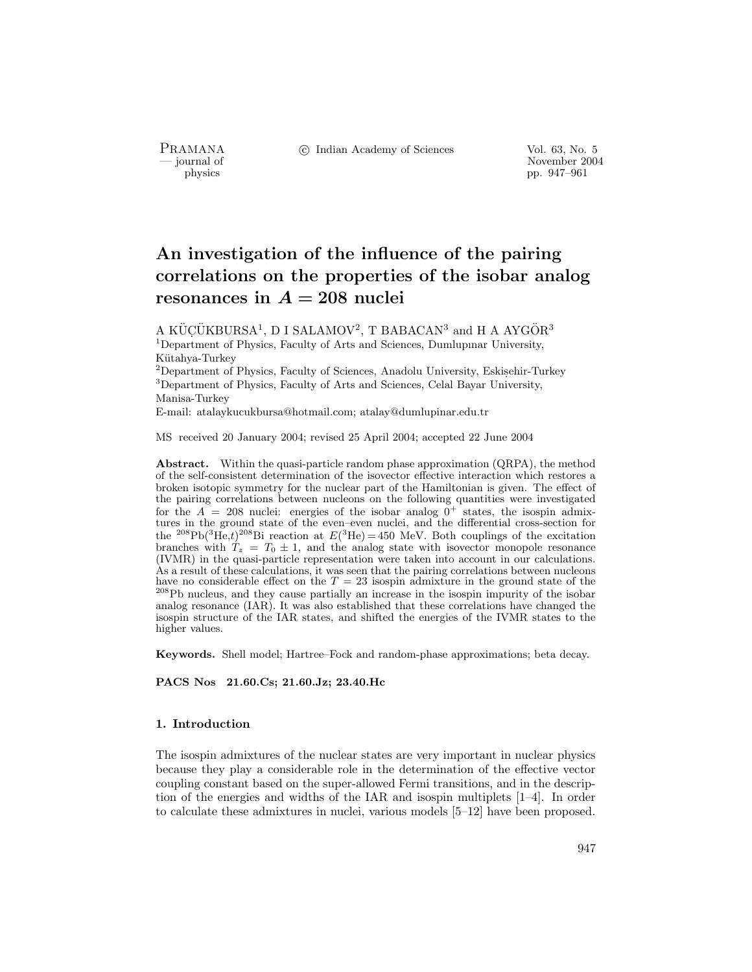PRAMANA °c Indian Academy of Sciences Vol. 63, No. 5

purnal of November 2004<br>
pp. 947–961 physics pp. 947–961

# An investigation of the influence of the pairing correlations on the properties of the isobar analog resonances in  $A = 208$  nuclei

A KÜÇÜKBURSA<sup>1</sup>, D I SALAMOV<sup>2</sup>, T BABACAN<sup>3</sup> and H A AYGÖR<sup>3</sup> <sup>1</sup>Department of Physics, Faculty of Arts and Sciences, Dumlupinar University, Kütahya-Turkey

 $2$ Department of Physics, Faculty of Sciences, Anadolu University, Eskisehir-Turkey  $3$ Department of Physics, Faculty of Arts and Sciences, Celal Bayar University, Manisa-Turkey

E-mail: atalaykucukbursa@hotmail.com; atalay@dumlupinar.edu.tr

MS received 20 January 2004; revised 25 April 2004; accepted 22 June 2004

Abstract. Within the quasi-particle random phase approximation (QRPA), the method of the self-consistent determination of the isovector effective interaction which restores a broken isotopic symmetry for the nuclear part of the Hamiltonian is given. The effect of the pairing correlations between nucleons on the following quantities were investigated for the  $A = 208$  nuclei: energies of the isobar analog  $0^+$  states, the isospin admixtures in the ground state of the even–even nuclei, and the differential cross-section for the <sup>208</sup>Pb(<sup>3</sup>He,t)<sup>208</sup>Bi reaction at  $E(^3$ He) = 450 MeV. Both couplings of the excitation branches with  $T_z = T_0 \pm 1$ , and the analog state with isovector monopole resonance (IVMR) in the quasi-particle representation were taken into account in our calculations. As a result of these calculations, it was seen that the pairing correlations between nucleons have no considerable effect on the  $T = 23$  isospin admixture in the ground state of the  $\rm ^{208}Pb$  nucleus, and they cause partially an increase in the isospin impurity of the isobar analog resonance (IAR). It was also established that these correlations have changed the isospin structure of the IAR states, and shifted the energies of the IVMR states to the higher values.

Keywords. Shell model; Hartree–Fock and random-phase approximations; beta decay.

PACS Nos 21.60.Cs; 21.60.Jz; 23.40.Hc

## 1. Introduction

The isospin admixtures of the nuclear states are very important in nuclear physics because they play a considerable role in the determination of the effective vector coupling constant based on the super-allowed Fermi transitions, and in the description of the energies and widths of the IAR and isospin multiplets [1–4]. In order to calculate these admixtures in nuclei, various models [5–12] have been proposed.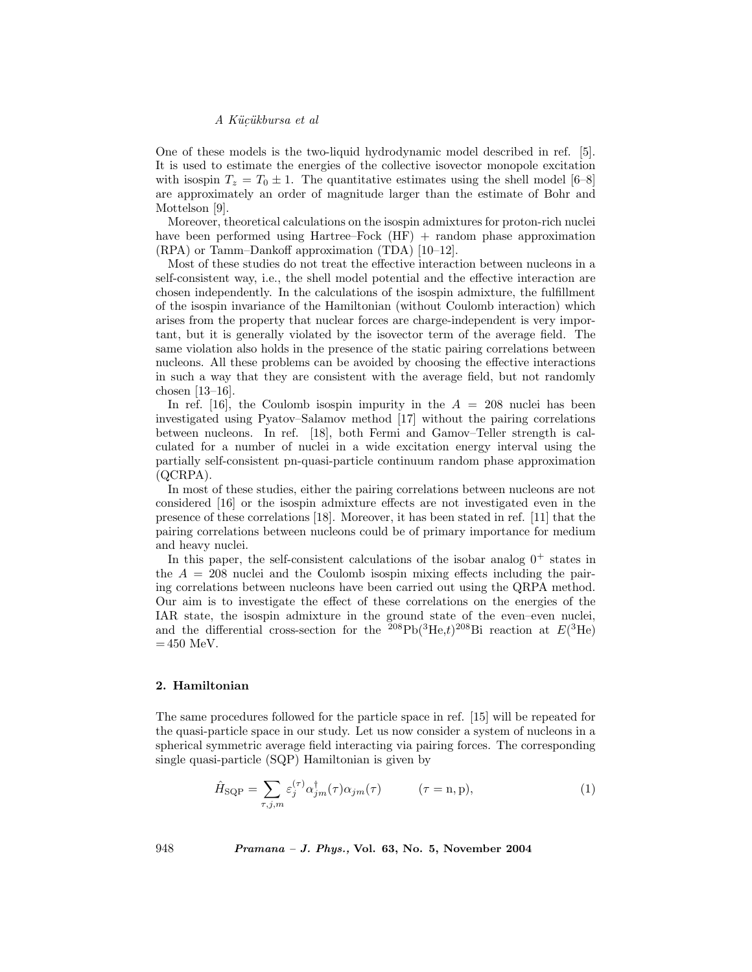One of these models is the two-liquid hydrodynamic model described in ref. [5]. It is used to estimate the energies of the collective isovector monopole excitation with isospin  $T_z = T_0 \pm 1$ . The quantitative estimates using the shell model [6–8] are approximately an order of magnitude larger than the estimate of Bohr and Mottelson [9].

Moreover, theoretical calculations on the isospin admixtures for proton-rich nuclei have been performed using Hartree–Fock (HF) + random phase approximation (RPA) or Tamm–Dankoff approximation (TDA) [10–12].

Most of these studies do not treat the effective interaction between nucleons in a self-consistent way, i.e., the shell model potential and the effective interaction are chosen independently. In the calculations of the isospin admixture, the fulfillment of the isospin invariance of the Hamiltonian (without Coulomb interaction) which arises from the property that nuclear forces are charge-independent is very important, but it is generally violated by the isovector term of the average field. The same violation also holds in the presence of the static pairing correlations between nucleons. All these problems can be avoided by choosing the effective interactions in such a way that they are consistent with the average field, but not randomly chosen [13–16].

In ref. [16], the Coulomb isospin impurity in the  $A = 208$  nuclei has been investigated using Pyatov–Salamov method [17] without the pairing correlations between nucleons. In ref. [18], both Fermi and Gamov–Teller strength is calculated for a number of nuclei in a wide excitation energy interval using the partially self-consistent pn-quasi-particle continuum random phase approximation (QCRPA).

In most of these studies, either the pairing correlations between nucleons are not considered [16] or the isospin admixture effects are not investigated even in the presence of these correlations [18]. Moreover, it has been stated in ref. [11] that the pairing correlations between nucleons could be of primary importance for medium and heavy nuclei.

In this paper, the self-consistent calculations of the isobar analog  $0^+$  states in the  $A = 208$  nuclei and the Coulomb isospin mixing effects including the pairing correlations between nucleons have been carried out using the QRPA method. Our aim is to investigate the effect of these correlations on the energies of the IAR state, the isospin admixture in the ground state of the even–even nuclei, and the differential cross-section for the  $208Pb(3He,t)208Bi$  reaction at  $E(3He)$  $= 450$  MeV.

#### 2. Hamiltonian

The same procedures followed for the particle space in ref. [15] will be repeated for the quasi-particle space in our study. Let us now consider a system of nucleons in a spherical symmetric average field interacting via pairing forces. The corresponding single quasi-particle (SQP) Hamiltonian is given by

$$
\hat{H}_{\text{SQP}} = \sum_{\tau,j,m} \varepsilon_j^{(\tau)} \alpha_{jm}^{\dagger}(\tau) \alpha_{jm}(\tau) \qquad (\tau = \text{n}, \text{p}), \qquad (1)
$$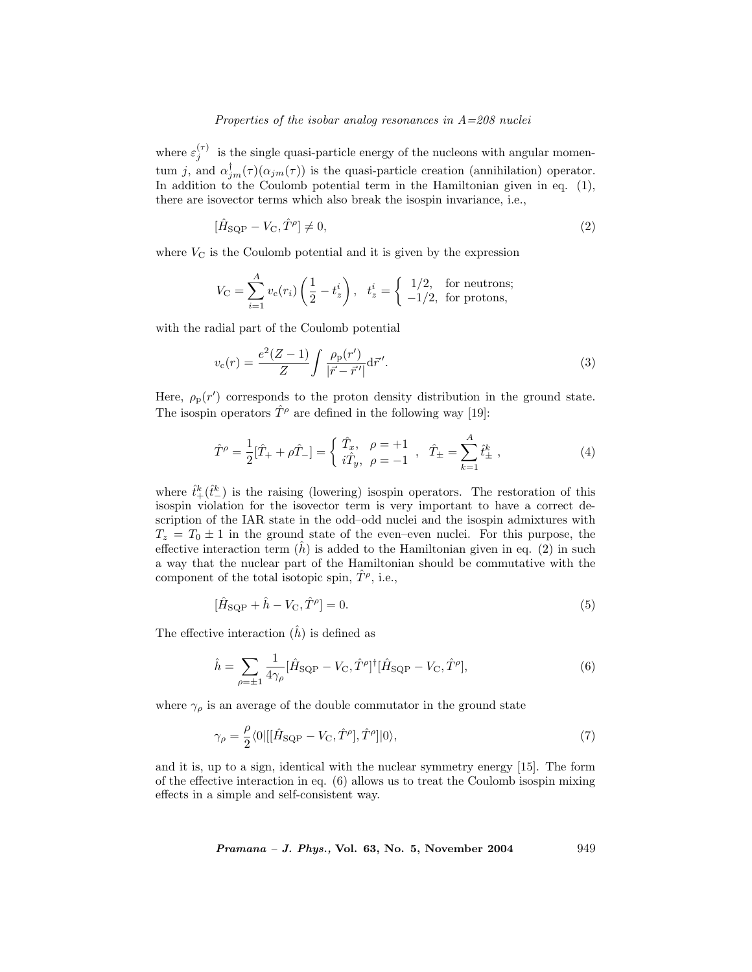where  $\varepsilon_j^{(\tau)}$  is the single quasi-particle energy of the nucleons with angular momentum j, and  $\alpha_{jm}^{\dagger}(\tau)(\alpha_{jm}(\tau))$  is the quasi-particle creation (annihilation) operator. In addition to the Coulomb potential term in the Hamiltonian given in eq. (1), there are isovector terms which also break the isospin invariance, i.e.,

$$
[\hat{H}_{\text{SQP}} - V_{\text{C}}, \hat{T}^{\rho}] \neq 0,\tag{2}
$$

where  $V_{\rm C}$  is the Coulomb potential and it is given by the expression

$$
V_{\rm C} = \sum_{i=1}^{A} v_{\rm c}(r_i) \left(\frac{1}{2} - t_z^i\right), \quad t_z^i = \begin{cases} 1/2, & \text{for neutrons;} \\ -1/2, & \text{for protons,} \end{cases}
$$

with the radial part of the Coulomb potential

$$
v_{\rm c}(r) = \frac{e^2(Z-1)}{Z} \int \frac{\rho_{\rm p}(r')}{|\vec{r} - \vec{r}'|} d\vec{r}'.
$$
 (3)

Here,  $\rho_{\rm p}(r')$  corresponds to the proton density distribution in the ground state. The isospin operators  $\hat{T}^{\rho}$  are defined in the following way [19]:

$$
\hat{T}^{\rho} = \frac{1}{2} [\hat{T}_{+} + \rho \hat{T}_{-}] = \begin{cases} \hat{T}_{x}, & \rho = +1 \\ i \hat{T}_{y}, & \rho = -1 \end{cases}, \quad \hat{T}_{\pm} = \sum_{k=1}^{A} \hat{t}^{k}_{\pm} , \tag{4}
$$

where  $\hat{t}^k_+(\hat{t}^k_-)$  is the raising (lowering) isospin operators. The restoration of this isospin violation for the isovector term is very important to have a correct description of the IAR state in the odd–odd nuclei and the isospin admixtures with  $T_z = T_0 \pm 1$  in the ground state of the even–even nuclei. For this purpose, the effective interaction term  $(h)$  is added to the Hamiltonian given in eq. (2) in such a way that the nuclear part of the Hamiltonian should be commutative with the component of the total isotopic spin,  $\hat{T}^{\rho}$ , i.e.,

$$
[\hat{H}_{\text{SQP}} + \hat{h} - V_{\text{C}}, \hat{T}^{\rho}] = 0. \tag{5}
$$

The effective interaction  $(\hat{h})$  is defined as

$$
\hat{h} = \sum_{\rho=\pm 1} \frac{1}{4\gamma_{\rho}} [\hat{H}_{\text{SQP}} - V_{\text{C}}, \hat{T}^{\rho}]^{\dagger} [\hat{H}_{\text{SQP}} - V_{\text{C}}, \hat{T}^{\rho}], \tag{6}
$$

where  $\gamma_\rho$  is an average of the double commutator in the ground state

$$
\gamma_{\rho} = \frac{\rho}{2} \langle 0 | [[\hat{H}_{\text{SQP}} - V_{\text{C}}, \hat{T}^{\rho}], \hat{T}^{\rho}] | 0 \rangle, \tag{7}
$$

and it is, up to a sign, identical with the nuclear symmetry energy [15]. The form of the effective interaction in eq. (6) allows us to treat the Coulomb isospin mixing effects in a simple and self-consistent way.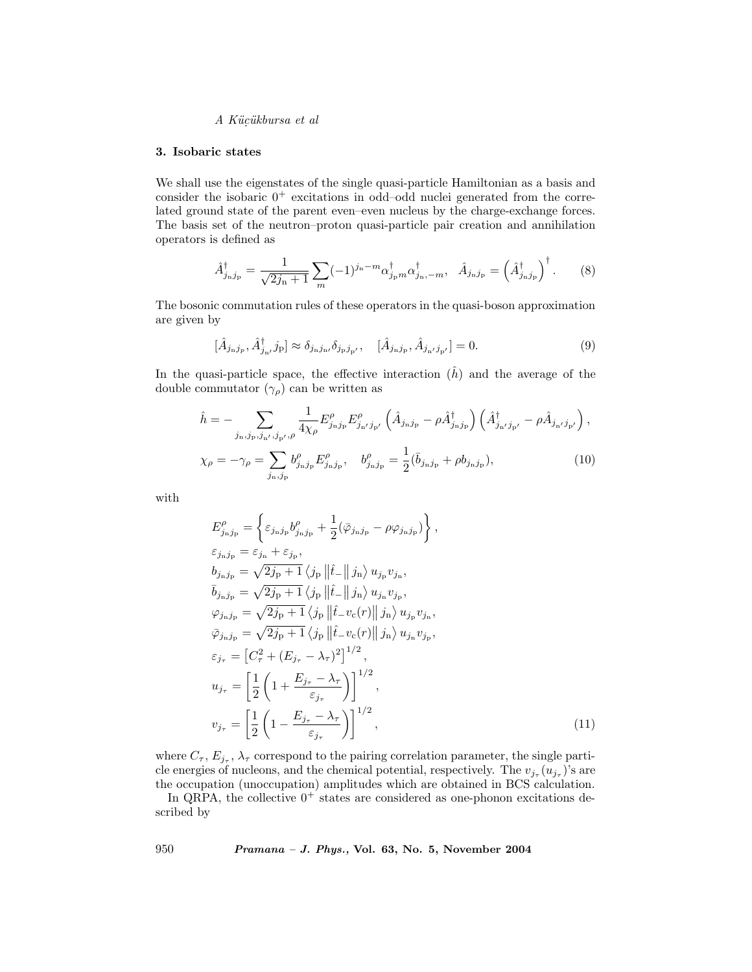#### 3. Isobaric states

We shall use the eigenstates of the single quasi-particle Hamiltonian as a basis and consider the isobaric  $0^+$  excitations in odd–odd nuclei generated from the correlated ground state of the parent even–even nucleus by the charge-exchange forces. The basis set of the neutron–proton quasi-particle pair creation and annihilation operators is defined as

$$
\hat{A}_{j_n j_p}^{\dagger} = \frac{1}{\sqrt{2j_n + 1}} \sum_{m} (-1)^{j_n - m} \alpha_{j_p m}^{\dagger} \alpha_{j_n, -m}^{\dagger}, \quad \hat{A}_{j_n j_p} = \left(\hat{A}_{j_n j_p}^{\dagger}\right)^{\dagger}.
$$
 (8)

The bosonic commutation rules of these operators in the quasi-boson approximation are given by

$$
[\hat{A}_{j_{\rm n}j_{p}}, \hat{A}_{j_{\rm n}j}^{\dagger}j_{\rm p}] \approx \delta_{j_{\rm n}j_{\rm n}j} \delta_{j_{\rm p}j_{\rm p'}}, \quad [\hat{A}_{j_{\rm n}j_{\rm p}}, \hat{A}_{j_{\rm n}j_{\rm p'}}] = 0. \tag{9}
$$

In the quasi-particle space, the effective interaction  $(\hat{h})$  and the average of the double commutator  $(\gamma_{\rho})$  can be written as

$$
\hat{h} = -\sum_{j_{\rm n}, j_{\rm p}, j_{\rm n'}, j_{\rm p'}, \rho} \frac{1}{4\chi_{\rho}} E^{\rho}_{j_{\rm n}j_{\rm p}} E^{\rho}_{j_{\rm n'}j_{\rm p'}} \left( \hat{A}_{j_{\rm n}j_{\rm p}} - \rho \hat{A}_{j_{\rm n}j_{\rm p}}^{\dagger} \right) \left( \hat{A}_{j_{\rm n'}j_{\rm p'}}^{\dagger} - \rho \hat{A}_{j_{\rm n'}j_{\rm p'}} \right),
$$
\n
$$
\chi_{\rho} = -\gamma_{\rho} = \sum_{j_{\rm n}, j_{\rm p}} b^{\rho}_{j_{\rm n}j_{\rm p}} E^{\rho}_{j_{\rm n}j_{\rm p}}, \quad b^{\rho}_{j_{\rm n}j_{\rm p}} = \frac{1}{2} (\bar{b}_{j_{\rm n}j_{\rm p}} + \rho b_{j_{\rm n}j_{\rm p}}), \tag{10}
$$

with

$$
E_{j_{\rm n}j_{\rm p}}^{\rho} = \left\{ \varepsilon_{j_{\rm n}j_{\rm p}} b_{j_{\rm n}j_{\rm p}}^{\rho} + \frac{1}{2} (\bar{\varphi}_{j_{\rm n}j_{\rm p}} - \rho \varphi_{j_{\rm n}j_{\rm p}}) \right\},
$$
  
\n
$$
\varepsilon_{j_{\rm n}j_{\rm p}} = \varepsilon_{j_{\rm n}} + \varepsilon_{j_{\rm p}},
$$
  
\n
$$
b_{j_{\rm n}j_{\rm p}} = \sqrt{2j_{\rm p} + 1} \langle j_{\rm p} ||\hat{t} - ||j_{\rm n}\rangle u_{j_{\rm p}} v_{j_{\rm n}},
$$
  
\n
$$
\bar{b}_{j_{\rm n}j_{\rm p}} = \sqrt{2j_{\rm p} + 1} \langle j_{\rm p} ||\hat{t} - ||j_{\rm n}\rangle u_{j_{\rm n}} v_{j_{\rm p}},
$$
  
\n
$$
\varphi_{j_{\rm n}j_{\rm p}} = \sqrt{2j_{\rm p} + 1} \langle j_{\rm p} ||\hat{t} - v_{\rm c}(r)|| j_{\rm n} \rangle u_{j_{\rm p}} v_{j_{\rm n}},
$$
  
\n
$$
\bar{\varphi}_{j_{\rm n}j_{\rm p}} = \sqrt{2j_{\rm p} + 1} \langle j_{\rm p} ||\hat{t} - v_{\rm c}(r)|| j_{\rm n} \rangle u_{j_{\rm n}} v_{j_{\rm p}},
$$
  
\n
$$
\varepsilon_{j_{\tau}} = \left[ C_{\tau}^2 + (E_{j_{\tau}} - \lambda_{\tau})^2 \right]^{1/2},
$$
  
\n
$$
u_{j_{\tau}} = \left[ \frac{1}{2} \left( 1 + \frac{E_{j_{\tau}} - \lambda_{\tau}}{\varepsilon_{j_{\tau}}} \right) \right]^{1/2},
$$
  
\n
$$
v_{j_{\tau}} = \left[ \frac{1}{2} \left( 1 - \frac{E_{j_{\tau}} - \lambda_{\tau}}{\varepsilon_{j_{\tau}}} \right) \right]^{1/2},
$$
  
\n(11)

where  $C_{\tau}$ ,  $E_{j_{\tau}}$ ,  $\lambda_{\tau}$  correspond to the pairing correlation parameter, the single particle energies of nucleons, and the chemical potential, respectively. The  $v_{j_\tau}(u_{j_\tau})$ 's are the occupation (unoccupation) amplitudes which are obtained in BCS calculation.

In QRPA, the collective  $0^+$  states are considered as one-phonon excitations described by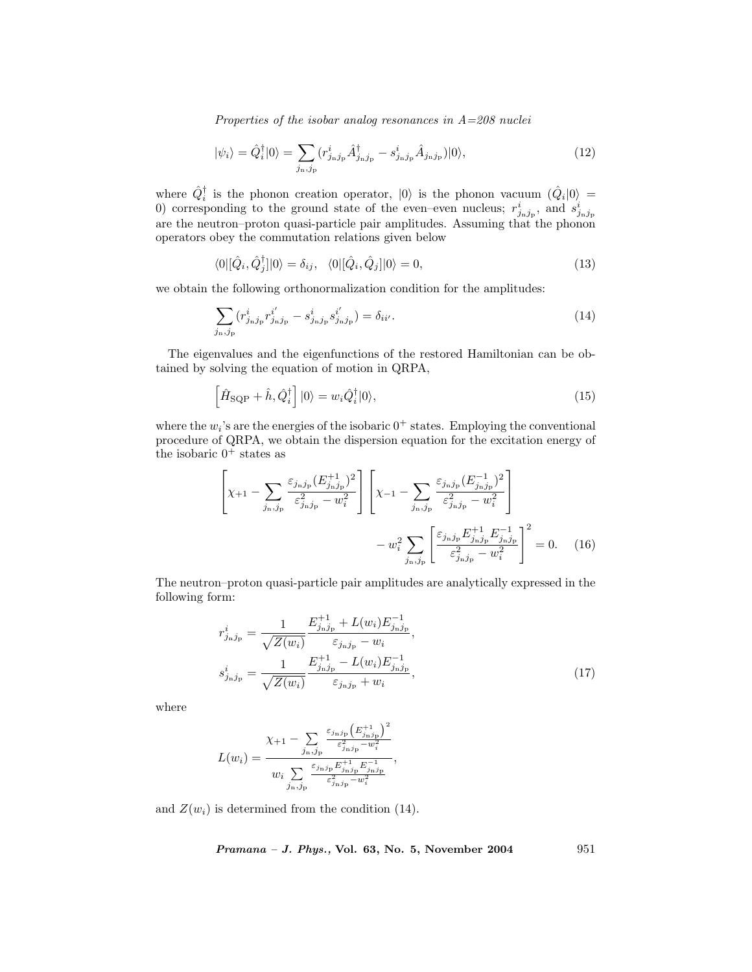$$
|\psi_i\rangle = \hat{Q}_i^{\dagger}|0\rangle = \sum_{j_\mathrm{n},j_\mathrm{p}} (r_{j_\mathrm{n}j_\mathrm{p}}^i \hat{A}_{j_\mathrm{n}j_\mathrm{p}}^\dagger - s_{j_\mathrm{n}j_\mathrm{p}}^i \hat{A}_{j_\mathrm{n}j_\mathrm{p}})|0\rangle,\tag{12}
$$

where  $\hat{Q}_i^{\dagger}$  is the phonon creation operator,  $|0\rangle$  is the phonon vacuum  $(\hat{Q}_i|0\rangle =$ 0) corresponding to the ground state of the even–even nucleus;  $r_{j_nj_p}^i$ , and  $s_{j_nj_p}^i$ are the neutron–proton quasi-particle pair amplitudes. Assuming that the phonon operators obey the commutation relations given below

$$
\langle 0 | [\hat{Q}_i, \hat{Q}_j^{\dagger}] | 0 \rangle = \delta_{ij}, \quad \langle 0 | [\hat{Q}_i, \hat{Q}_j] | 0 \rangle = 0,\tag{13}
$$

we obtain the following orthonormalization condition for the amplitudes:

$$
\sum_{j_{\rm n},j_{\rm p}} (r_{j_{\rm n}j_{\rm p}}^i r_{j_{\rm n}j_{\rm p}}^{i'} - s_{j_{\rm n}j_{\rm p}}^i s_{j_{\rm n}j_{\rm p}}^{i'}) = \delta_{ii'}.
$$
\n(14)

The eigenvalues and the eigenfunctions of the restored Hamiltonian can be obtained by solving the equation of motion in QRPA,

$$
\left[\hat{H}_{\text{SQP}} + \hat{h}, \hat{Q}_i^{\dagger}\right]|0\rangle = w_i \hat{Q}_i^{\dagger}|0\rangle,\tag{15}
$$

where the  $w_i$ 's are the energies of the isobaric  $0^+$  states. Employing the conventional procedure of QRPA, we obtain the dispersion equation for the excitation energy of the isobaric  $0^+$  states as

$$
\left[\chi_{+1} - \sum_{j_{\rm n},j_{\rm p}} \frac{\varepsilon_{j_{\rm n}j_{\rm p}} (E_{j_{\rm n}j_{\rm p}}^{+1})^2}{\varepsilon_{j_{\rm n}j_{\rm p}}^2 - w_i^2} \right] \left[\chi_{-1} - \sum_{j_{\rm n},j_{\rm p}} \frac{\varepsilon_{j_{\rm n}j_{\rm p}} (E_{j_{\rm n}j_{\rm p}}^{-1})^2}{\varepsilon_{j_{\rm n}j_{\rm p}}^2 - w_i^2} \right] - w_i^2 \sum_{j_{\rm n},j_{\rm p}} \left[\frac{\varepsilon_{j_{\rm n}j_{\rm p}} E_{j_{\rm n}j_{\rm p}}^{+1} E_{j_{\rm n}j_{\rm p}}^{-1}}{\varepsilon_{j_{\rm n}j_{\rm p}}^2 - w_i^2} \right]^2 = 0. \quad (16)
$$

The neutron–proton quasi-particle pair amplitudes are analytically expressed in the following form:

$$
r_{j_{\rm n}j_{\rm p}}^i = \frac{1}{\sqrt{Z(w_i)}} \frac{E_{j_{\rm n}j_{\rm p}}^{+1} + L(w_i)E_{j_{\rm n}j_{\rm p}}^{-1}}{\varepsilon_{j_{\rm n}j_{\rm p}} - w_i},
$$
  
\n
$$
s_{j_{\rm n}j_{\rm p}}^i = \frac{1}{\sqrt{Z(w_i)}} \frac{E_{j_{\rm n}j_{\rm p}}^{+1} - L(w_i)E_{j_{\rm n}j_{\rm p}}^{-1}}{\varepsilon_{j_{\rm n}j_{\rm p}} + w_i},
$$
\n(17)

where

$$
L(w_i) = \frac{\chi_{+1} - \sum_{j_{\rm n},j_{\rm p}} \frac{\varepsilon_{j_{\rm n}j_{\rm p}} \left(E_{j_{\rm n}j_{\rm p}}^{+1}\right)^2}{w_i \sum_{j_{\rm n},j_{\rm p}} \frac{\varepsilon_{j_{\rm n}j_{\rm p}} E_{j_{\rm n}j_{\rm p}}^{+1} E_{j_{\rm n}j_{\rm p}}^{-1}}{\varepsilon_{j_{\rm n}j_{\rm p}}^2 - w_i^2}},
$$

and  $Z(w_i)$  is determined from the condition (14).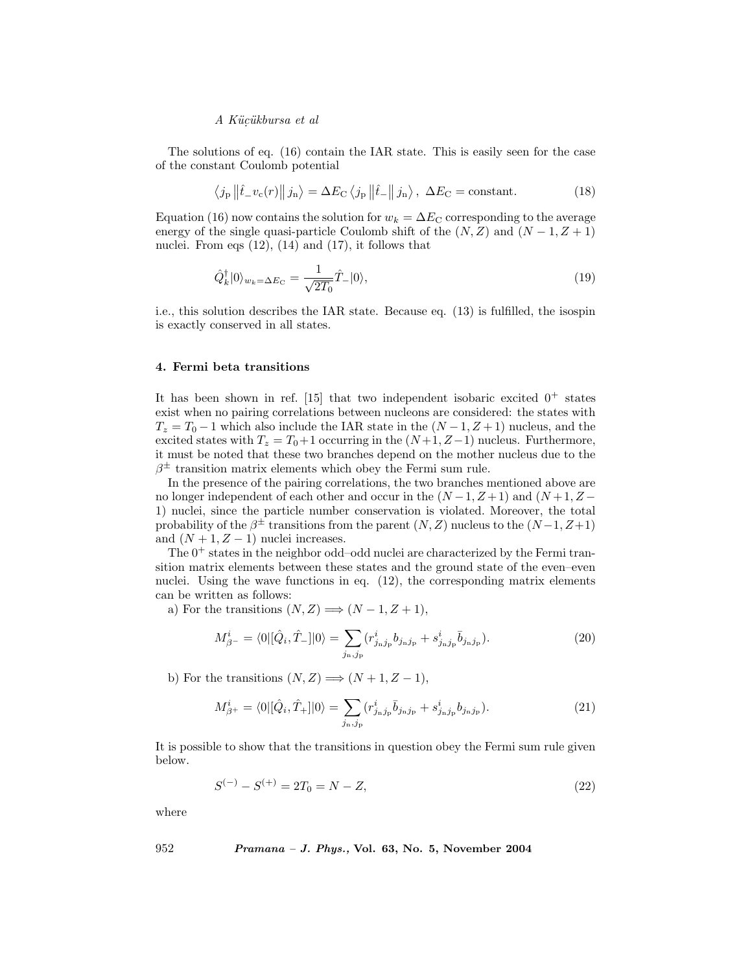The solutions of eq. (16) contain the IAR state. This is easily seen for the case of the constant Coulomb potential

$$
\langle j_{\rm p} \left\| \hat{t}_{-} v_{\rm c}(r) \right\| j_{\rm n} \rangle = \Delta E_{\rm C} \langle j_{\rm p} \left\| \hat{t}_{-} \right\| j_{\rm n} \rangle, \ \Delta E_{\rm C} = \text{constant.} \tag{18}
$$

Equation (16) now contains the solution for  $w_k = \Delta E_C$  corresponding to the average energy of the single quasi-particle Coulomb shift of the  $(N, Z)$  and  $(N - 1, Z + 1)$ nuclei. From eqs  $(12)$ ,  $(14)$  and  $(17)$ , it follows that

$$
\hat{Q}_k^{\dagger}|0\rangle_{w_k=\Delta E_{\rm C}} = \frac{1}{\sqrt{2T_0}}\hat{T}_-|0\rangle,\tag{19}
$$

i.e., this solution describes the IAR state. Because eq. (13) is fulfilled, the isospin is exactly conserved in all states.

#### 4. Fermi beta transitions

It has been shown in ref. [15] that two independent isobaric excited  $0^+$  states exist when no pairing correlations between nucleons are considered: the states with  $T_z = T_0 - 1$  which also include the IAR state in the  $(N - 1, Z + 1)$  nucleus, and the excited states with  $T_z = T_0 + 1$  occurring in the  $(N+1, Z-1)$  nucleus. Furthermore, it must be noted that these two branches depend on the mother nucleus due to the  $\beta^{\pm}$  transition matrix elements which obey the Fermi sum rule.

In the presence of the pairing correlations, the two branches mentioned above are no longer independent of each other and occur in the  $(N-1, Z+1)$  and  $(N+1, Z-$ 1) nuclei, since the particle number conservation is violated. Moreover, the total probability of the  $\beta^{\pm}$  transitions from the parent  $(N, Z)$  nucleus to the  $(N-1, Z+1)$ and  $(N + 1, Z - 1)$  nuclei increases.

The  $0^+$  states in the neighbor odd–odd nuclei are characterized by the Fermi transition matrix elements between these states and the ground state of the even–even nuclei. Using the wave functions in eq. (12), the corresponding matrix elements can be written as follows:

a) For the transitions  $(N, Z) \Longrightarrow (N-1, Z+1),$ 

$$
M_{\beta^{-}}^{i} = \langle 0 | [\hat{Q}_{i}, \hat{T}_{-}] | 0 \rangle = \sum_{j_{\rm n}, j_{\rm p}} (r_{j_{\rm n}j_{\rm p}}^{i} b_{j_{\rm n}j_{\rm p}} + s_{j_{\rm n}j_{\rm p}}^{i} \bar{b}_{j_{\rm n}j_{\rm p}}). \tag{20}
$$

b) For the transitions  $(N, Z) \Longrightarrow (N + 1, Z - 1)$ ,

$$
M_{\beta^{+}}^{i} = \langle 0 | [\hat{Q}_{i}, \hat{T}_{+}] | 0 \rangle = \sum_{j_{\rm n}, j_{\rm p}} (r_{j_{\rm n}j_{\rm p}}^{i} \bar{b}_{j_{\rm n}j_{\rm p}} + s_{j_{\rm n}j_{\rm p}}^{i} b_{j_{\rm n}j_{\rm p}}). \tag{21}
$$

It is possible to show that the transitions in question obey the Fermi sum rule given below.

$$
S^{(-)} - S^{(+)} = 2T_0 = N - Z,\t\t(22)
$$

where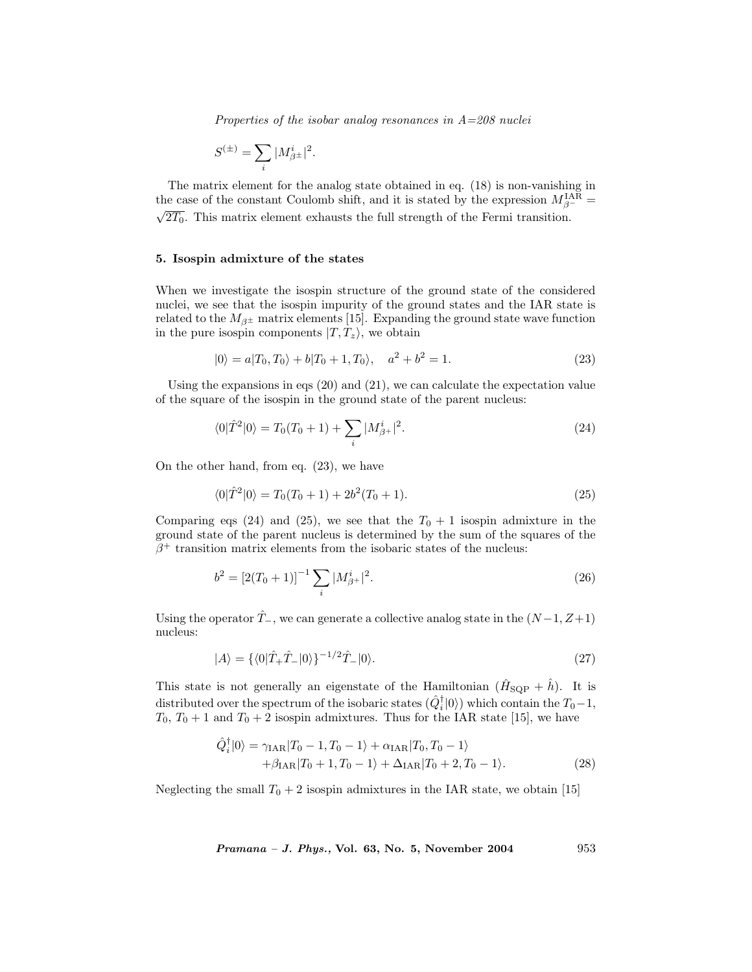$$
S^{(\pm)}=\sum_i |M^i_{\beta^{\pm}}|^2.
$$

The matrix element for the analog state obtained in eq. (18) is non-vanishing in the case of the constant Coulomb shift, and it is stated by the expression  $M_{\beta^-}^{\text{IAR}} = \sqrt{2T_0}$ . This matrix element exhausts the full strength of the Fermi transition.

#### 5. Isospin admixture of the states

When we investigate the isospin structure of the ground state of the considered nuclei, we see that the isospin impurity of the ground states and the IAR state is related to the  $M_{\beta^{\pm}}$  matrix elements [15]. Expanding the ground state wave function in the pure isospin components  $|T, T_z\rangle$ , we obtain

$$
|0\rangle = a|T_0, T_0\rangle + b|T_0 + 1, T_0\rangle, \quad a^2 + b^2 = 1.
$$
 (23)

Using the expansions in eqs  $(20)$  and  $(21)$ , we can calculate the expectation value of the square of the isospin in the ground state of the parent nucleus:

$$
\langle 0|\hat{T}^2|0\rangle = T_0(T_0 + 1) + \sum_i |M^i_{\beta^+}|^2.
$$
 (24)

On the other hand, from eq. (23), we have

$$
\langle 0|\hat{T}^2|0\rangle = T_0(T_0 + 1) + 2b^2(T_0 + 1). \tag{25}
$$

Comparing eqs (24) and (25), we see that the  $T_0 + 1$  isospin admixture in the ground state of the parent nucleus is determined by the sum of the squares of the  $\beta^+$  transition matrix elements from the isobaric states of the nucleus:

$$
b^2 = [2(T_0 + 1)]^{-1} \sum_{i} |M_{\beta+}^{i}|^2.
$$
 (26)

Using the operator  $\hat{T}_-$ , we can generate a collective analog state in the  $(N-1, Z+1)$ nucleus:

$$
|A\rangle = \{ \langle 0|\hat{T}_{+}\hat{T}_{-}|0\rangle \}^{-1/2}\hat{T}_{-}|0\rangle. \tag{27}
$$

This state is not generally an eigenstate of the Hamiltonian  $(H<sub>SQP</sub> + \hat{h})$ . It is distributed over the spectrum of the isobaric states  $(\hat{Q}_i^{\dagger} | 0 \rangle)$  which contain the  $T_0 - 1$ ,  $T_0$ ,  $T_0 + 1$  and  $T_0 + 2$  isospin admixtures. Thus for the IAR state [15], we have

$$
\hat{Q}_{i}^{\dagger}|0\rangle = \gamma_{\text{IAR}}|T_{0} - 1, T_{0} - 1\rangle + \alpha_{\text{IAR}}|T_{0}, T_{0} - 1\rangle \n+ \beta_{\text{IAR}}|T_{0} + 1, T_{0} - 1\rangle + \Delta_{\text{IAR}}|T_{0} + 2, T_{0} - 1\rangle.
$$
\n(28)

Neglecting the small  $T_0 + 2$  isospin admixtures in the IAR state, we obtain [15]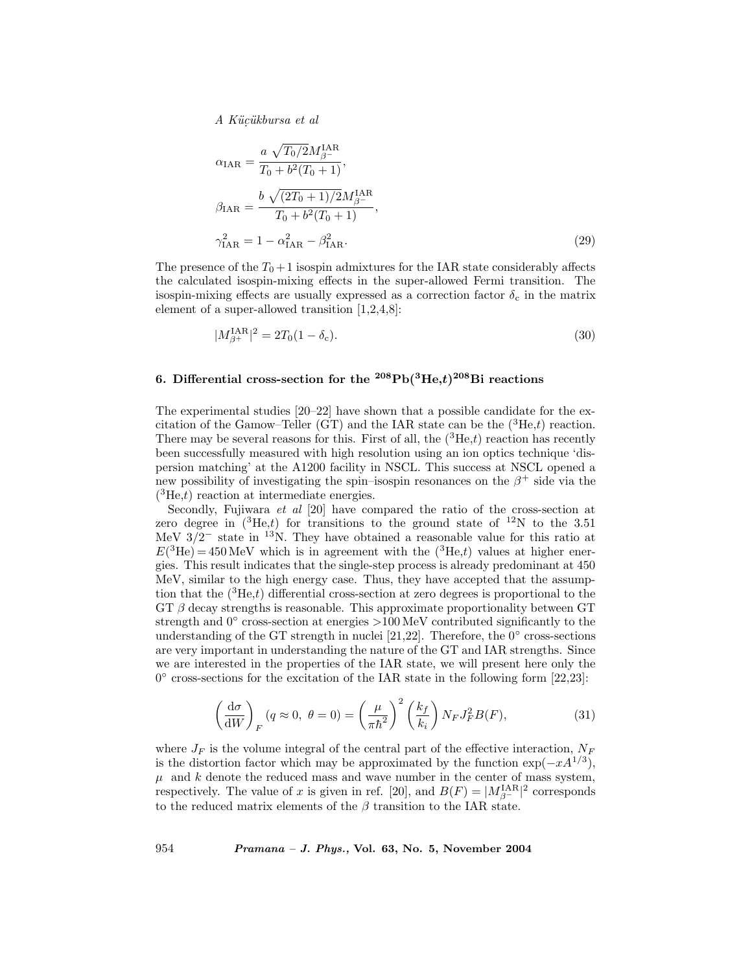$$
\alpha_{\text{IAR}} = \frac{a \sqrt{T_0/2} M_{\beta^-}^{\text{IAR}}}{T_0 + b^2 (T_0 + 1)},
$$
  
\n
$$
\beta_{\text{IAR}} = \frac{b \sqrt{(2T_0 + 1)/2} M_{\beta^-}^{\text{IAR}}}{T_0 + b^2 (T_0 + 1)},
$$
  
\n
$$
\gamma_{\text{IAR}}^2 = 1 - \alpha_{\text{IAR}}^2 - \beta_{\text{IAR}}^2.
$$
\n(29)

The presence of the  $T_0 + 1$  isospin admixtures for the IAR state considerably affects the calculated isospin-mixing effects in the super-allowed Fermi transition. The isospin-mixing effects are usually expressed as a correction factor  $\delta_c$  in the matrix element of a super-allowed transition [1,2,4,8]:

$$
|M_{\beta^+}^{\text{IAR}}|^2 = 2T_0(1 - \delta_c). \tag{30}
$$

# 6. Differential cross-section for the  $^{208}\text{Pb}(^{3}\text{He},t)^{208}\text{Bi}$  reactions

The experimental studies [20–22] have shown that a possible candidate for the excitation of the Gamow–Teller (GT) and the IAR state can be the  $({}^{3}He,t)$  reaction. There may be several reasons for this. First of all, the  $({}^{3}He,t)$  reaction has recently been successfully measured with high resolution using an ion optics technique 'dispersion matching' at the A1200 facility in NSCL. This success at NSCL opened a new possibility of investigating the spin–isospin resonances on the  $\beta^+$  side via the  $(^{3}He,t)$  reaction at intermediate energies.

Secondly, Fujiwara et al [20] have compared the ratio of the cross-section at zero degree in  $({}^{3}He,t)$  for transitions to the ground state of  ${}^{12}N$  to the 3.51 MeV  $3/2^-$  state in <sup>13</sup>N. They have obtained a reasonable value for this ratio at  $E(^{3}\text{He}) = 450 \text{ MeV}$  which is in agreement with the  $(^{3}\text{He},t)$  values at higher energies. This result indicates that the single-step process is already predominant at 450 MeV, similar to the high energy case. Thus, they have accepted that the assumption that the  $({}^{3}He,t)$  differential cross-section at zero degrees is proportional to the  $GT$  β decay strengths is reasonable. This approximate proportionality between  $GT$ strength and  $0°$  cross-section at energies >100 MeV contributed significantly to the understanding of the GT strength in nuclei [21,22]. Therefore, the  $0°$  cross-sections are very important in understanding the nature of the GT and IAR strengths. Since we are interested in the properties of the IAR state, we will present here only the  $0^{\circ}$  cross-sections for the excitation of the IAR state in the following form [22,23]:

$$
\left(\frac{\mathrm{d}\sigma}{\mathrm{d}W}\right)_F (q \approx 0, \ \theta = 0) = \left(\frac{\mu}{\pi \hbar^2}\right)^2 \left(\frac{k_f}{k_i}\right) N_F J_F^2 B(F),\tag{31}
$$

where  $J_F$  is the volume integral of the central part of the effective interaction,  $N_F$ is the distortion factor which may be approximated by the function  $\exp(-xA^{1/3})$ ,  $\mu$  and k denote the reduced mass and wave number in the center of mass system, respectively. The value of x is given in ref. [20], and  $B(F) = |M_{\beta^-}^{\text{IAR}}|^2$  corresponds to the reduced matrix elements of the  $\beta$  transition to the IAR state.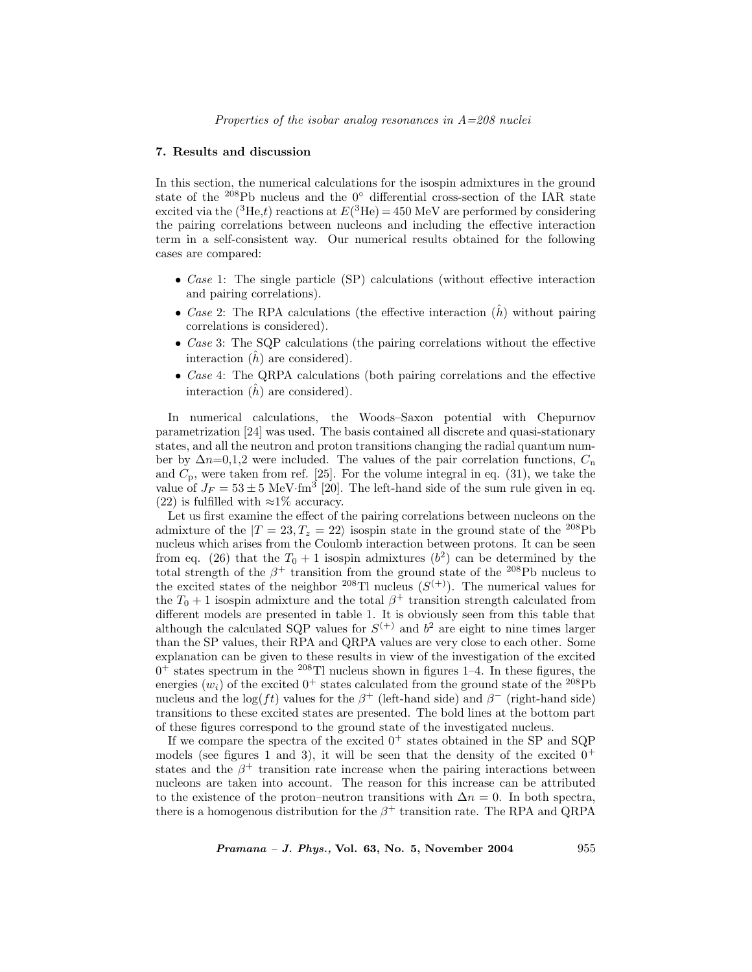#### 7. Results and discussion

In this section, the numerical calculations for the isospin admixtures in the ground state of the <sup>208</sup>Pb nucleus and the 0◦ differential cross-section of the IAR state excited via the (<sup>3</sup>He,t) reactions at  $E^{(3)}$ He) = 450 MeV are performed by considering the pairing correlations between nucleons and including the effective interaction term in a self-consistent way. Our numerical results obtained for the following cases are compared:

- Case 1: The single particle (SP) calculations (without effective interaction and pairing correlations).
- Case 2: The RPA calculations (the effective interaction  $(h)$ ) without pairing correlations is considered).
- Case 3: The SQP calculations (the pairing correlations without the effective interaction  $(h)$  are considered).
- Case 4: The QRPA calculations (both pairing correlations and the effective interaction  $(h)$  are considered).

In numerical calculations, the Woods–Saxon potential with Chepurnov parametrization [24] was used. The basis contained all discrete and quasi-stationary states, and all the neutron and proton transitions changing the radial quantum number by  $\Delta n=0,1,2$  were included. The values of the pair correlation functions,  $C_n$ and  $C_p$ , were taken from ref. [25]. For the volume integral in eq. (31), we take the value of  $J_F = 53 \pm 5$  MeV·fm<sup>3</sup> [20]. The left-hand side of the sum rule given in eq. (22) is fulfilled with  $\approx 1\%$  accuracy.

Let us first examine the effect of the pairing correlations between nucleons on the admixture of the  $|T = 23, T_z = 22\rangle$  isospin state in the ground state of the <sup>208</sup>Pb nucleus which arises from the Coulomb interaction between protons. It can be seen from eq. (26) that the  $T_0 + 1$  isospin admixtures  $(b^2)$  can be determined by the total strength of the  $\beta^+$  transition from the ground state of the <sup>208</sup>Pb nucleus to the excited states of the neighbor <sup>208</sup>Tl nucleus  $(S^{(+)})$ . The numerical values for the  $T_0 + 1$  isospin admixture and the total  $\beta^+$  transition strength calculated from different models are presented in table 1. It is obviously seen from this table that although the calculated SQP values for  $S^{(+)}$  and  $b^2$  are eight to nine times larger than the SP values, their RPA and QRPA values are very close to each other. Some explanation can be given to these results in view of the investigation of the excited  $0^+$  states spectrum in the <sup>208</sup>Tl nucleus shown in figures 1–4. In these figures, the energies  $(w_i)$  of the excited  $0^+$  states calculated from the ground state of the <sup>208</sup>Pb nucleus and the log(ft) values for the  $\beta^+$  (left-hand side) and  $\beta^-$  (right-hand side) transitions to these excited states are presented. The bold lines at the bottom part of these figures correspond to the ground state of the investigated nucleus.

If we compare the spectra of the excited  $0^+$  states obtained in the SP and SQP models (see figures 1 and 3), it will be seen that the density of the excited  $0^+$ states and the  $\beta^+$  transition rate increase when the pairing interactions between nucleons are taken into account. The reason for this increase can be attributed to the existence of the proton–neutron transitions with  $\Delta n = 0$ . In both spectra, there is a homogenous distribution for the  $\beta^+$  transition rate. The RPA and QRPA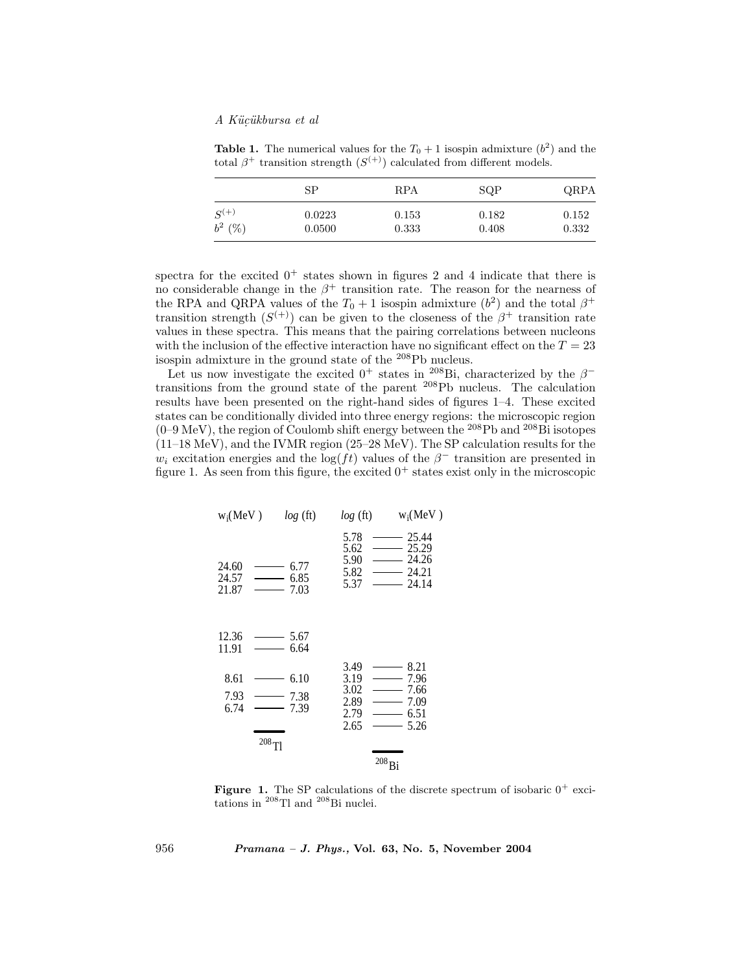**Table 1.** The numerical values for the  $T_0 + 1$  isospin admixture  $(b^2)$  and the total  $\beta^+$  transition strength  $(S^{(+)})$  calculated from different models.

|           | SP     | RPA   | SQP   | QRPA  |
|-----------|--------|-------|-------|-------|
| $S^{(+)}$ | 0.0223 | 0.153 | 0.182 | 0.152 |
| $b^2$ (%) | 0.0500 | 0.333 | 0.408 | 0.332 |

spectra for the excited  $0^+$  states shown in figures 2 and 4 indicate that there is no considerable change in the  $\beta^+$  transition rate. The reason for the nearness of the RPA and QRPA values of the  $T_0 + 1$  isospin admixture  $(b^2)$  and the total  $\beta^+$ transition strength  $(S^{(+)})$  can be given to the closeness of the  $\beta^+$  transition rate values in these spectra. This means that the pairing correlations between nucleons with the inclusion of the effective interaction have no significant effect on the  $T = 23$ isospin admixture in the ground state of the <sup>208</sup>Pb nucleus.

Let us now investigate the excited 0<sup>+</sup> states in <sup>208</sup>Bi, characterized by the  $\beta$ <sup>-</sup> transitions from the ground state of the parent <sup>208</sup>Pb nucleus. The calculation results have been presented on the right-hand sides of figures 1–4. These excited states can be conditionally divided into three energy regions: the microscopic region  $(0-9 \text{ MeV})$ , the region of Coulomb shift energy between the <sup>208</sup>Pb and <sup>208</sup>Bi isotopes (11–18 MeV), and the IVMR region (25–28 MeV). The SP calculation results for the  $w_i$  excitation energies and the log(ft) values of the  $\beta^-$  transition are presented in figure 1. As seen from this figure, the excited  $0^+$  states exist only in the microscopic

| w <sub>i</sub> (MeV) | $log$ (ft) | $log$ (ft) | $w_i(MeV)$ |   |       |
|----------------------|------------|------------|------------|---|-------|
| 5.78                 | —          | 25.44      |            |   |       |
| 5.62                 | —          | 25.29      |            |   |       |
| 24.60                | —          | 6.77       | 5.90       | — | 24.26 |
| 24.57                | —          | 6.85       | 5.82       | — | 24.21 |
| 21.87                | —          | 7.03       | 5.37       | — | 24.14 |
| 12.36                | —          | 5.67       |            |   |       |
| 11.91                | —          | 6.64       |            |   |       |
| 8.61                 | —          | 6.10       | 3.19       | — | 7.96  |
| 7.93                 | 3.02       | —          | 7.66       |   |       |
| 7.93                 | 2.89       | —          | 7.09       |   |       |
| 6.74                 | —          | 7.39       | 2.79       | — | 6.51  |
| 208                  | —          | 5.26       |            |   |       |
| 208                  | —          | 208        |            |   |       |

**Figure 1.** The SP calculations of the discrete spectrum of isobaric  $0^+$  excitations in <sup>208</sup>Tl and <sup>208</sup>Bi nuclei.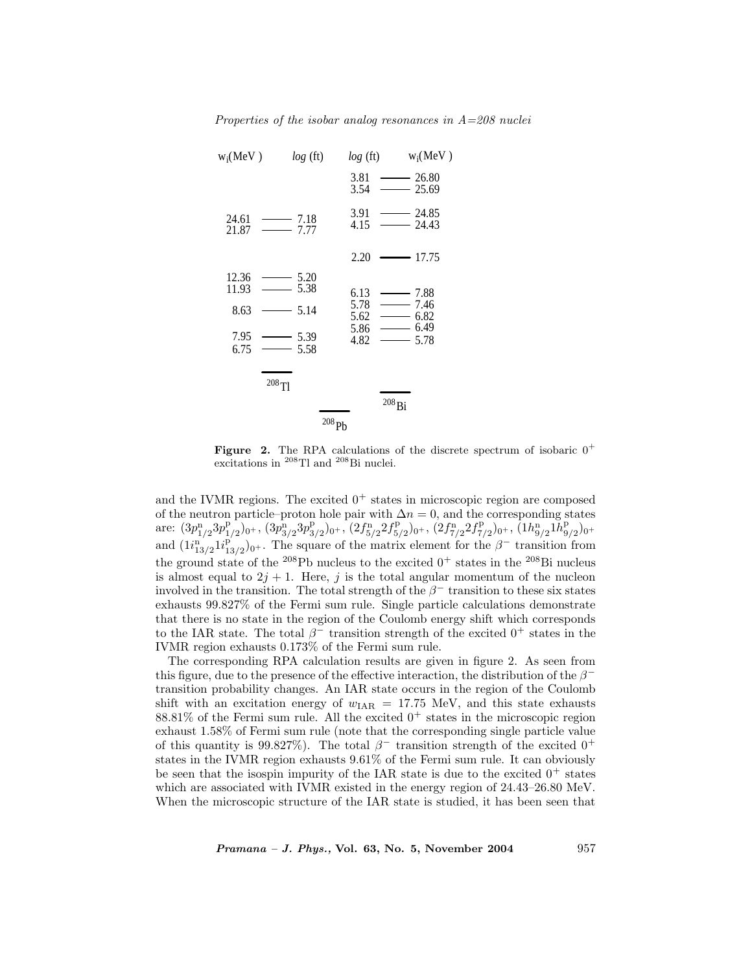| $w_i$ (MeV)         | log(ft)      | log(ft)      | $w_i$ (MeV)         |  |  |  |
|---------------------|--------------|--------------|---------------------|--|--|--|
|                     |              | 3.81<br>3.54 | 26.80<br>25.69      |  |  |  |
| 24.61<br>21.87      | 7.18<br>7.77 | 3.91<br>4.15 | 24.85<br>-<br>24.43 |  |  |  |
|                     |              | 2.20         | 17.75               |  |  |  |
| 12.36<br>11.93      | 5.20<br>5.38 | 6.13         | 7.88                |  |  |  |
| 8.63                | 5.14         | 5.78<br>5.62 | 7.46<br>6.82        |  |  |  |
| 7.95<br>6.75        | 5.39<br>5.58 | 5.86<br>4.82 | 6.49<br>5.78        |  |  |  |
|                     | $^{208}$ Tl  |              |                     |  |  |  |
|                     |              |              | $^{208}\mathrm{Bi}$ |  |  |  |
| $^{208}\mathrm{Pb}$ |              |              |                     |  |  |  |

**Figure 2.** The RPA calculations of the discrete spectrum of isobaric  $0^+$ excitations in <sup>208</sup>Tl and <sup>208</sup>Bi nuclei.

and the IVMR regions. The excited  $0^+$  states in microscopic region are composed of the neutron particle–proton hole pair with  $\Delta n = 0$ , and the corresponding states  $\text{are: } (3p_{1/2}^n 3p_{1/2}^p)_{0^+}, (3p_{3/2}^n 3p_{3/2}^p)_{0^+}, (2f_{5/2}^n 2f_{5/2}^p)_{0^+}, (2f_{7/2}^n 2f_{7/2}^p)_{0^+}, (1h_{9/2}^n 1\bar{h}_{9/2}^p)_{0^+}$ and  $(1i_{13/2}^n 1i_{13/2}^p)_{0^+}$ . The square of the matrix element for the  $\beta^-$  transition from the ground state of the <sup>208</sup>Pb nucleus to the excited  $0^+$  states in the <sup>208</sup>Bi nucleus is almost equal to  $2j + 1$ . Here, j is the total angular momentum of the nucleon involved in the transition. The total strength of the  $\beta^-$  transition to these six states exhausts 99.827% of the Fermi sum rule. Single particle calculations demonstrate that there is no state in the region of the Coulomb energy shift which corresponds to the IAR state. The total  $\beta^-$  transition strength of the excited  $0^+$  states in the IVMR region exhausts 0.173% of the Fermi sum rule.

The corresponding RPA calculation results are given in figure 2. As seen from this figure, due to the presence of the effective interaction, the distribution of the  $\beta^$ transition probability changes. An IAR state occurs in the region of the Coulomb shift with an excitation energy of  $w_{IAR} = 17.75$  MeV, and this state exhausts 88.81% of the Fermi sum rule. All the excited  $0^+$  states in the microscopic region exhaust 1.58% of Fermi sum rule (note that the corresponding single particle value of this quantity is 99.827%). The total  $\beta^-$  transition strength of the excited 0<sup>+</sup> states in the IVMR region exhausts 9.61% of the Fermi sum rule. It can obviously be seen that the isospin impurity of the IAR state is due to the excited  $0^+$  states which are associated with IVMR existed in the energy region of 24.43–26.80 MeV. When the microscopic structure of the IAR state is studied, it has been seen that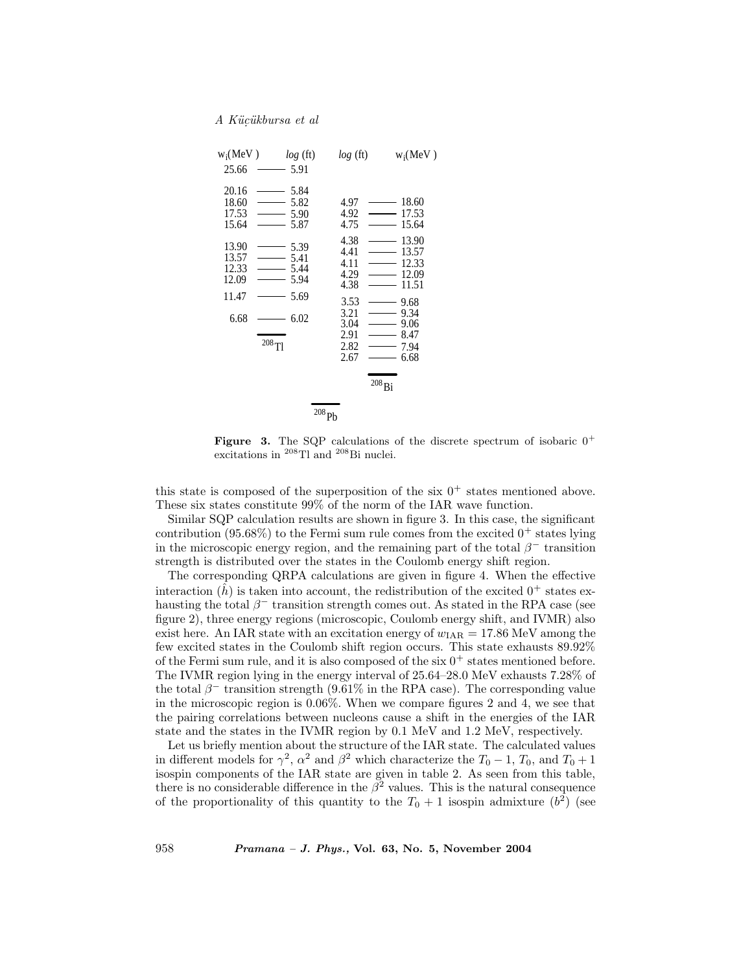

**Figure 3.** The SQP calculations of the discrete spectrum of isobaric  $0^+$ excitations in <sup>208</sup>Tl and <sup>208</sup>Bi nuclei.

this state is composed of the superposition of the six  $0^+$  states mentioned above. These six states constitute 99% of the norm of the IAR wave function.

Similar SQP calculation results are shown in figure 3. In this case, the significant contribution (95.68%) to the Fermi sum rule comes from the excited  $0^+$  states lying in the microscopic energy region, and the remaining part of the total  $\beta^-$  transition strength is distributed over the states in the Coulomb energy shift region.

The corresponding QRPA calculations are given in figure 4. When the effective interaction  $(h)$  is taken into account, the redistribution of the excited  $0^+$  states exhausting the total  $\beta^-$  transition strength comes out. As stated in the RPA case (see figure 2), three energy regions (microscopic, Coulomb energy shift, and IVMR) also exist here. An IAR state with an excitation energy of  $w_{IAR} = 17.86 \text{ MeV}$  among the few excited states in the Coulomb shift region occurs. This state exhausts 89.92% of the Fermi sum rule, and it is also composed of the six  $0^+$  states mentioned before. The IVMR region lying in the energy interval of 25.64–28.0 MeV exhausts 7.28% of the total  $\beta^-$  transition strength (9.61% in the RPA case). The corresponding value in the microscopic region is 0.06%. When we compare figures 2 and 4, we see that the pairing correlations between nucleons cause a shift in the energies of the IAR state and the states in the IVMR region by 0.1 MeV and 1.2 MeV, respectively.

Let us briefly mention about the structure of the IAR state. The calculated values in different models for  $\gamma^2$ ,  $\alpha^2$  and  $\beta^2$  which characterize the  $T_0 - 1$ ,  $T_0$ , and  $T_0 + 1$ isospin components of the IAR state are given in table 2. As seen from this table, there is no considerable difference in the  $\beta^2$  values. This is the natural consequence of the proportionality of this quantity to the  $T_0 + 1$  isospin admixture  $(b^2)$  (see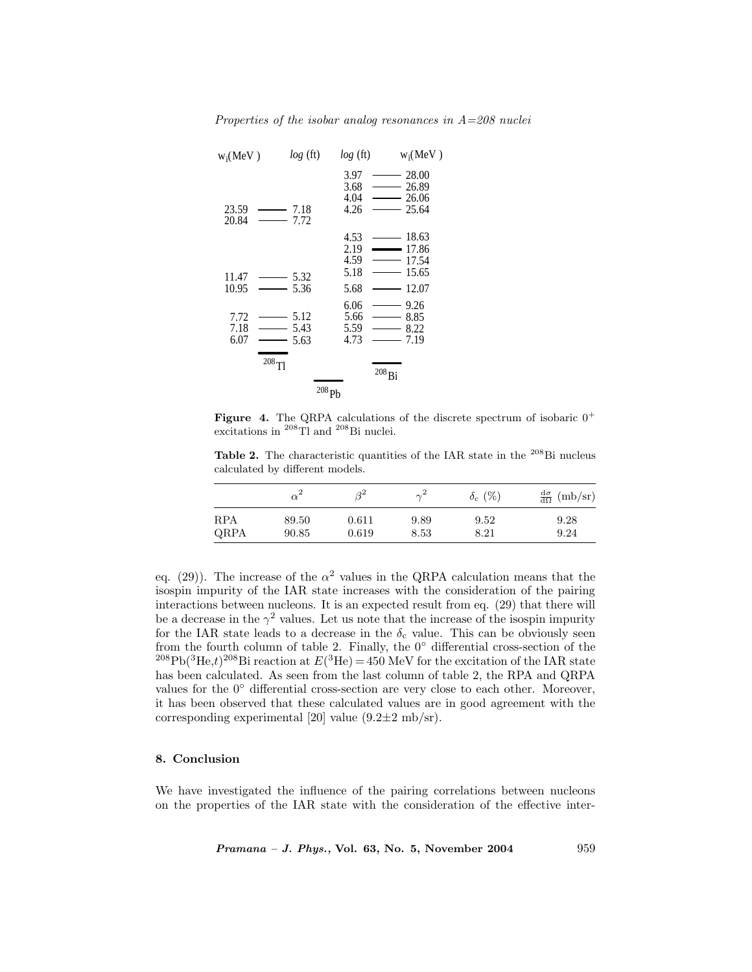

**Figure 4.** The QRPA calculations of the discrete spectrum of isobaric  $0^+$ excitations in <sup>208</sup>Tl and <sup>208</sup>Bi nuclei.

Table 2. The characteristic quantities of the IAR state in the  $^{208}\text{Bi}$  nucleus calculated by different models.

|            | $\alpha^2$ | $\beta^2$ | $\sim^2$ | $\delta_{\rm c}$ (%) | $\frac{d\sigma}{d\Omega}$ (mb/sr) |
|------------|------------|-----------|----------|----------------------|-----------------------------------|
| <b>RPA</b> | 89.50      | 0.611     | 9.89     | 9.52                 | 9.28                              |
| QRPA       | 90.85      | 0.619     | 8.53     | $8.21\,$             | 9.24                              |

eq. (29)). The increase of the  $\alpha^2$  values in the QRPA calculation means that the isospin impurity of the IAR state increases with the consideration of the pairing interactions between nucleons. It is an expected result from eq. (29) that there will be a decrease in the  $\gamma^2$  values. Let us note that the increase of the isospin impurity for the IAR state leads to a decrease in the  $\delta_c$  value. This can be obviously seen from the fourth column of table 2. Finally, the  $0°$  differential cross-section of the <sup>208</sup>Pb(<sup>3</sup>He,t)<sup>208</sup>Bi reaction at  $E$ (<sup>3</sup>He) = 450 MeV for the excitation of the IAR state has been calculated. As seen from the last column of table 2, the RPA and QRPA values for the  $0°$  differential cross-section are very close to each other. Moreover, it has been observed that these calculated values are in good agreement with the corresponding experimental [20] value  $(9.2\pm 2 \text{ mb/sr})$ .

#### 8. Conclusion

We have investigated the influence of the pairing correlations between nucleons on the properties of the IAR state with the consideration of the effective inter-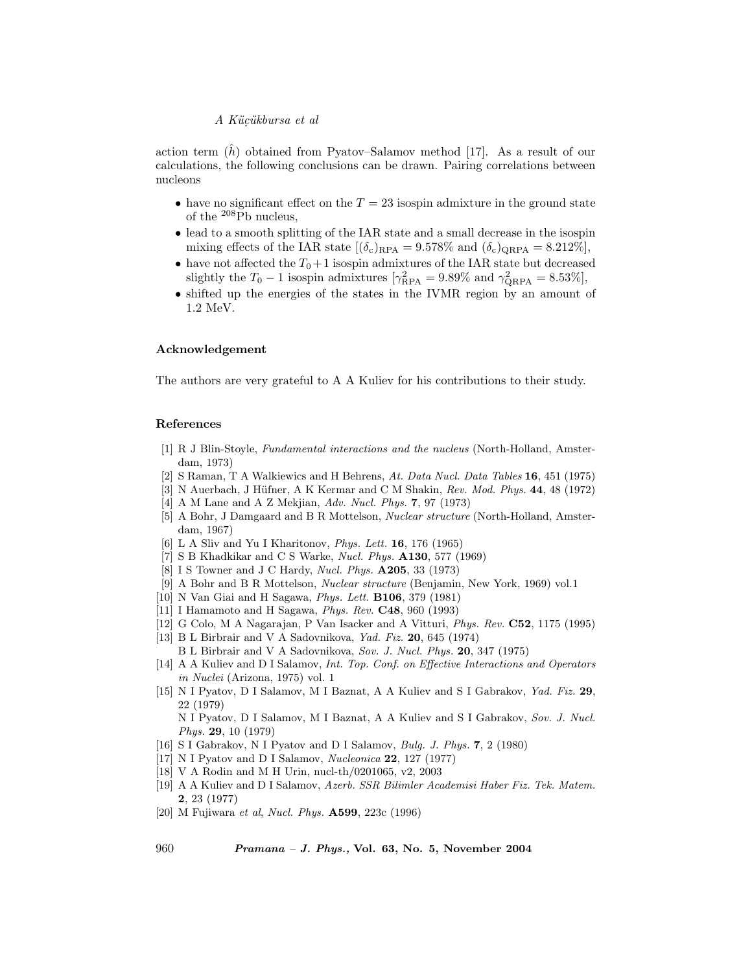action term  $(h)$  obtained from Pyatov–Salamov method [17]. As a result of our calculations, the following conclusions can be drawn. Pairing correlations between nucleons

- have no significant effect on the  $T = 23$  isospin admixture in the ground state of the  $^{208}$ Pb nucleus,
- lead to a smooth splitting of the IAR state and a small decrease in the isospin mixing effects of the IAR state  $[(\delta_c)_{RPA} = 9.578\%$  and  $(\delta_c)_{QRPA} = 8.212\%]$ ,
- have not affected the  $T_0+1$  isospin admixtures of the IAR state but decreased slightly the  $T_0 - 1$  isospin admixtures  $[\gamma_{\rm RPA}^2 = 9.89\%$  and  $\gamma_{\rm QRPA}^2 = 8.53\%]$ ,
- shifted up the energies of the states in the IVMR region by an amount of 1.2 MeV.

# Acknowledgement

The authors are very grateful to A A Kuliev for his contributions to their study.

#### References

- [1] R J Blin-Stoyle, Fundamental interactions and the nucleus (North-Holland, Amsterdam, 1973)
- [2] S Raman, T A Walkiewics and H Behrens, At. Data Nucl. Data Tables 16, 451 (1975)
- [3] N Auerbach, J Hüfner, A K Kermar and C M Shakin,  $Rev.$  Mod. Phys. 44, 48 (1972)
- [4] A M Lane and A Z Mekjian, Adv. Nucl. Phys. 7, 97 (1973)
- [5] A Bohr, J Damgaard and B R Mottelson, Nuclear structure (North-Holland, Amsterdam, 1967)
- [6] L A Sliv and Yu I Kharitonov, Phys. Lett. 16, 176 (1965)
- [7] S B Khadkikar and C S Warke, *Nucl. Phys.*  $A130, 577$  (1969)
- [8] I S Towner and J C Hardy, *Nucl. Phys.* **A205**, 33 (1973)
- [9] A Bohr and B R Mottelson, Nuclear structure (Benjamin, New York, 1969) vol.1
- [10] N Van Giai and H Sagawa, Phys. Lett. B106, 379 (1981)
- [11] I Hamamoto and H Sagawa, Phys. Rev. C48, 960 (1993)
- [12] G Colo, M A Nagarajan, P Van Isacker and A Vitturi, Phys. Rev. C52, 1175 (1995)
- [13] B L Birbrair and V A Sadovnikova, *Yad. Fiz.* **20**, 645 (1974)
	- B L Birbrair and V A Sadovnikova, Sov. J. Nucl. Phys. 20, 347 (1975)
- [14] A A Kuliev and D I Salamov, Int. Top. Conf. on Effective Interactions and Operators in Nuclei (Arizona, 1975) vol. 1
- [15] N I Pyatov, D I Salamov, M I Baznat, A A Kuliev and S I Gabrakov, Yad. Fiz. 29, 22 (1979) N I Pyatov, D I Salamov, M I Baznat, A A Kuliev and S I Gabrakov, Sov. J. Nucl. Phys. 29, 10 (1979)
- [16] S I Gabrakov, N I Pyatov and D I Salamov, Bulg. J. Phys. 7, 2 (1980)
- [17] N I Pyatov and D I Salamov, Nucleonica 22, 127 (1977)
- [18] V A Rodin and M H Urin, nucl-th/0201065, v2, 2003
- [19] A A Kuliev and D I Salamov, Azerb. SSR Bilimler Academisi Haber Fiz. Tek. Matem. 2, 23 (1977)
- [20] M Fujiwara et al, Nucl. Phys. A599, 223c (1996)